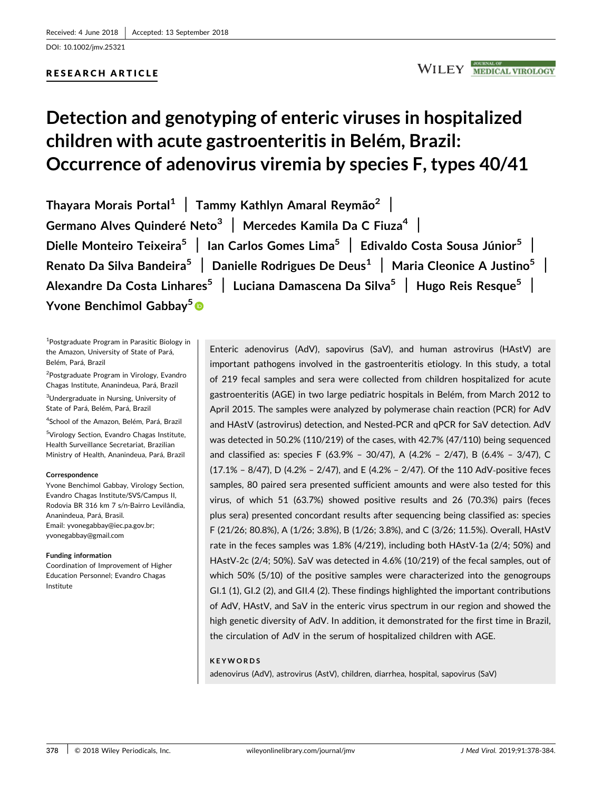#### DOI: 10.1002/jmv.25321

# RESEARCH ARTICLE

# Detection and genotyping of enteric viruses in hospitalized children with acute gastroenteritis in Belém, Brazil: Occurrence of adenovirus viremia by species F, types 40/41

Thayara Morais Portal<sup>1</sup> | Tammy Kathlyn Amaral Reymão<sup>2</sup> | Germano Alves Quinderé Neto<sup>3</sup> | Mercedes Kamila Da C Fiuza<sup>4</sup> | Dielle Monteiro Teixeira<sup>5</sup> | Ian Carlos Gomes Lima<sup>5</sup> | Edivaldo Costa Sousa Júnior<sup>5</sup> | Renato Da Silva Bandeira<sup>5</sup> | Danielle Rodrigues De Deus<sup>1</sup> | Maria Cleonice A Justino<sup>5</sup> | Alexandre Da Costa Linhares<sup>5</sup> | Luciana Damascena Da Silva<sup>5</sup> | Hugo Reis Resque<sup>5</sup> | Yvone Benchimol Gabbay<sup>5</sup>

1 Postgraduate Program in Parasitic Biology in the Amazon, University of State of Pará, Belém, Pará, Brazil

<sup>2</sup>Postgraduate Program in Virology, Evandro Chagas Institute, Ananindeua, Pará, Brazil <sup>3</sup>Undergraduate in Nursing, University of State of Pará, Belém, Pará, Brazil

4 School of the Amazon, Belém, Pará, Brazil

5 Virology Section, Evandro Chagas Institute, Health Surveillance Secretariat, Brazilian Ministry of Health, Ananindeua, Pará, Brazil

### **Correspondence**

Yvone Benchimol Gabbay, Virology Section, Evandro Chagas Institute/SVS/Campus II, Rodovia BR 316 km 7 s/n-Bairro Levilândia, Ananindeua, Pará, Brasil. Email: yvonegabbay@iec.pa.gov.br; yvonegabbay@gmail.com

### Funding information

Coordination of Improvement of Higher Education Personnel; Evandro Chagas Institute

Enteric adenovirus (AdV), sapovirus (SaV), and human astrovirus (HAstV) are important pathogens involved in the gastroenteritis etiology. In this study, a total of 219 fecal samples and sera were collected from children hospitalized for acute gastroenteritis (AGE) in two large pediatric hospitals in Belém, from March 2012 to April 2015. The samples were analyzed by polymerase chain reaction (PCR) for AdV and HAstV (astrovirus) detection, and Nested‐PCR and qPCR for SaV detection. AdV was detected in 50.2% (110/219) of the cases, with 42.7% (47/110) being sequenced and classified as: species F (63.9% – 30/47), A (4.2% – 2/47), B (6.4% – 3/47), C (17.1% – 8/47), D (4.2% – 2/47), and E (4.2% – 2/47). Of the 110 AdV‐positive feces samples, 80 paired sera presented sufficient amounts and were also tested for this virus, of which 51 (63.7%) showed positive results and 26 (70.3%) pairs (feces plus sera) presented concordant results after sequencing being classified as: species F (21/26; 80.8%), A (1/26; 3.8%), B (1/26; 3.8%), and C (3/26; 11.5%). Overall, HAstV rate in the feces samples was 1.8% (4/219), including both HAstV-1a (2/4; 50%) and HAstV‐2c (2/4; 50%). SaV was detected in 4.6% (10/219) of the fecal samples, out of which 50% (5/10) of the positive samples were characterized into the genogroups GI.1 (1), GI.2 (2), and GII.4 (2). These findings highlighted the important contributions of AdV, HAstV, and SaV in the enteric virus spectrum in our region and showed the high genetic diversity of AdV. In addition, it demonstrated for the first time in Brazil, the circulation of AdV in the serum of hospitalized children with AGE.

## KEYWORDS

adenovirus (AdV), astrovirus (AstV), children, diarrhea, hospital, sapovirus (SaV)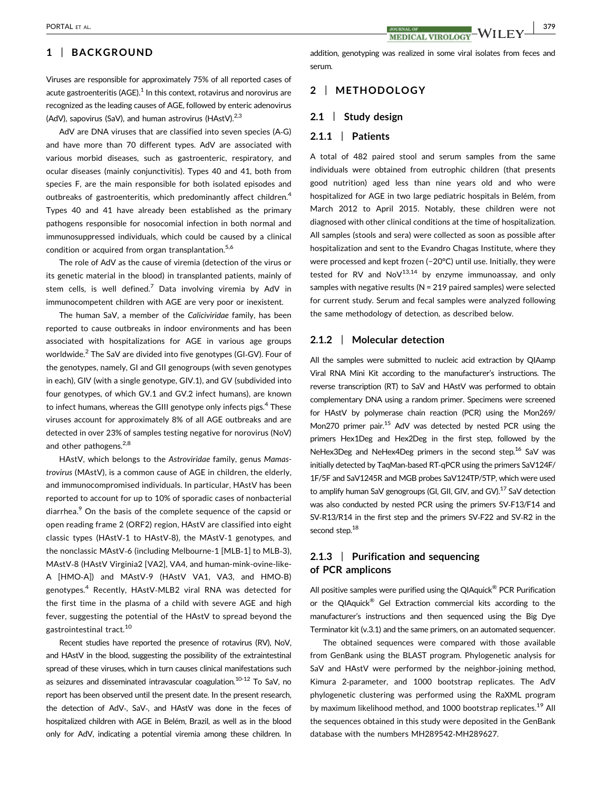# 1 | BACKGROUND

Viruses are responsible for approximately 75% of all reported cases of acute gastroenteritis (AGE). $<sup>1</sup>$  In this context, rotavirus and norovirus are</sup> recognized as the leading causes of AGE, followed by enteric adenovirus (AdV), sapovirus (SaV), and human astrovirus (HAstV). $2,3$ 

AdV are DNA viruses that are classified into seven species (A‐G) and have more than 70 different types. AdV are associated with various morbid diseases, such as gastroenteric, respiratory, and ocular diseases (mainly conjunctivitis). Types 40 and 41, both from species F, are the main responsible for both isolated episodes and outbreaks of gastroenteritis, which predominantly affect children.<sup>4</sup> Types 40 and 41 have already been established as the primary pathogens responsible for nosocomial infection in both normal and immunosuppressed individuals, which could be caused by a clinical condition or acquired from organ transplantation.<sup>5,6</sup>

The role of AdV as the cause of viremia (detection of the virus or its genetic material in the blood) in transplanted patients, mainly of stem cells, is well defined.<sup>7</sup> Data involving viremia by AdV in immunocompetent children with AGE are very poor or inexistent.

The human SaV, a member of the Caliciviridae family, has been reported to cause outbreaks in indoor environments and has been associated with hospitalizations for AGE in various age groups worldwide.<sup>2</sup> The SaV are divided into five genotypes (GI-GV). Four of the genotypes, namely, GI and GII genogroups (with seven genotypes in each), GIV (with a single genotype, GIV.1), and GV (subdivided into four genotypes, of which GV.1 and GV.2 infect humans), are known to infect humans, whereas the GIII genotype only infects pigs.<sup>4</sup> These viruses account for approximately 8% of all AGE outbreaks and are detected in over 23% of samples testing negative for norovirus (NoV) and other pathogens.<sup>2,8</sup>

HAstV, which belongs to the Astroviridae family, genus Mamastrovirus (MAstV), is a common cause of AGE in children, the elderly, and immunocompromised individuals. In particular, HAstV has been reported to account for up to 10% of sporadic cases of nonbacterial diarrhea. $9$  On the basis of the complete sequence of the capsid or open reading frame 2 (ORF2) region, HAstV are classified into eight classic types (HAstV‐1 to HAstV‐8), the MAstV‐1 genotypes, and the nonclassic MAstV‐6 (including Melbourne-1 [MLB‐1] to MLB‐3), MAstV‐8 (HAstV Virginia2 [VA2], VA4, and human-mink-ovine-like-A [HMO‐A]) and MAstV‐9 (HAstV VA1, VA3, and HMO‐B) genotypes.<sup>4</sup> Recently, HAstV-MLB2 viral RNA was detected for the first time in the plasma of a child with severe AGE and high fever, suggesting the potential of the HAstV to spread beyond the gastrointestinal tract.<sup>10</sup>

Recent studies have reported the presence of rotavirus (RV), NoV, and HAstV in the blood, suggesting the possibility of the extraintestinal spread of these viruses, which in turn causes clinical manifestations such as seizures and disseminated intravascular coagulation.<sup>10-12</sup> To SaV, no report has been observed until the present date. In the present research, the detection of AdV‐, SaV‐, and HAstV was done in the feces of hospitalized children with AGE in Belém, Brazil, as well as in the blood only for AdV, indicating a potential viremia among these children. In addition, genotyping was realized in some viral isolates from feces and serum.

# 2 | METHODOLOGY

## 2.1 | Study design

## 2.1.1 | Patients

A total of 482 paired stool and serum samples from the same individuals were obtained from eutrophic children (that presents good nutrition) aged less than nine years old and who were hospitalized for AGE in two large pediatric hospitals in Belém, from March 2012 to April 2015. Notably, these children were not diagnosed with other clinical conditions at the time of hospitalization. All samples (stools and sera) were collected as soon as possible after hospitalization and sent to the Evandro Chagas Institute, where they were processed and kept frozen (−20°C) until use. Initially, they were tested for RV and  $NoV^{13,14}$  by enzyme immunoassay, and only samples with negative results (N = 219 paired samples) were selected for current study. Serum and fecal samples were analyzed following the same methodology of detection, as described below.

## 2.1.2 | Molecular detection

All the samples were submitted to nucleic acid extraction by QIAamp Viral RNA Mini Kit according to the manufacturer's instructions. The reverse transcription (RT) to SaV and HAstV was performed to obtain complementary DNA using a random primer. Specimens were screened for HAstV by polymerase chain reaction (PCR) using the Mon269/ Mon270 primer pair.<sup>15</sup> AdV was detected by nested PCR using the primers Hex1Deg and Hex2Deg in the first step, followed by the NeHex3Deg and NeHex4Deg primers in the second step.<sup>16</sup> SaV was initially detected by TaqMan‐based RT‐qPCR using the primers SaV124F/ 1F/5F and SaV1245R and MGB probes SaV124TP/5TP, which were used to amplify human SaV genogroups (GI, GII, GIV, and GV).<sup>17</sup> SaV detection was also conducted by nested PCR using the primers SV‐F13/F14 and SV‐R13/R14 in the first step and the primers SV‐F22 and SV‐R2 in the second step.<sup>18</sup>

# 2.1.3 | Purification and sequencing of PCR amplicons

All positive samples were purified using the QIAquick<sup>®</sup> PCR Purification or the QIAquick® Gel Extraction commercial kits according to the manufacturer's instructions and then sequenced using the Big Dye Terminator kit (v.3.1) and the same primers, on an automated sequencer.

The obtained sequences were compared with those available from GenBank using the BLAST program. Phylogenetic analysis for SaV and HAstV were performed by the neighbor-joining method, Kimura 2‐parameter, and 1000 bootstrap replicates. The AdV phylogenetic clustering was performed using the RaXML program by maximum likelihood method, and 1000 bootstrap replicates.<sup>19</sup> All the sequences obtained in this study were deposited in the GenBank database with the numbers MH289542‐MH289627.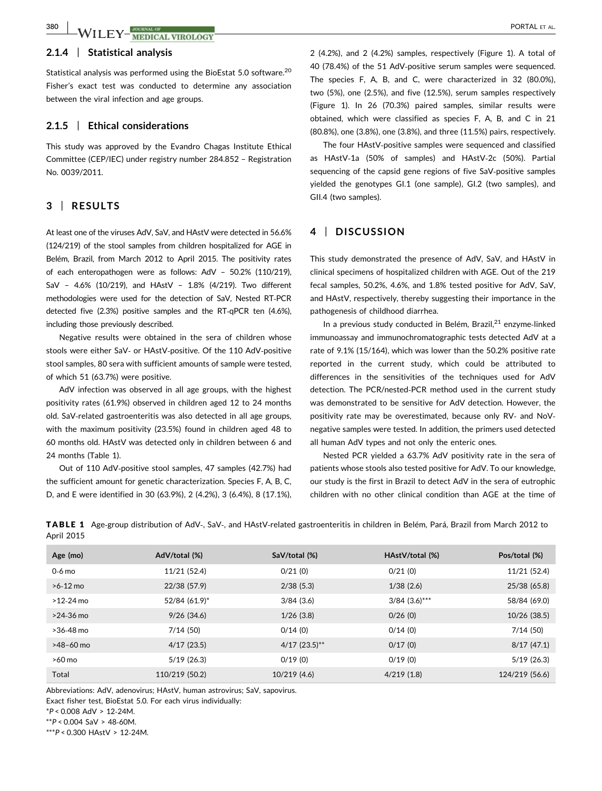## 2.1.4 | Statistical analysis

Statistical analysis was performed using the BioEstat 5.0 software.<sup>20</sup> Fisher's exact test was conducted to determine any association between the viral infection and age groups.

## 2.1.5 | Ethical considerations

This study was approved by the Evandro Chagas Institute Ethical Committee (CEP/IEC) under registry number 284.852 – Registration No. 0039/2011.

# 3 | RESULTS

At least one of the viruses AdV, SaV, and HAstV were detected in 56.6% (124/219) of the stool samples from children hospitalized for AGE in Belém, Brazil, from March 2012 to April 2015. The positivity rates of each enteropathogen were as follows: AdV – 50.2% (110/219), SaV – 4.6% (10/219), and HAstV – 1.8% (4/219). Two different methodologies were used for the detection of SaV, Nested RT‐PCR detected five (2.3%) positive samples and the RT‐qPCR ten (4.6%), including those previously described.

Negative results were obtained in the sera of children whose stools were either SaV‐ or HAstV‐positive. Of the 110 AdV‐positive stool samples, 80 sera with sufficient amounts of sample were tested, of which 51 (63.7%) were positive.

AdV infection was observed in all age groups, with the highest positivity rates (61.9%) observed in children aged 12 to 24 months old. SaV‐related gastroenteritis was also detected in all age groups, with the maximum positivity (23.5%) found in children aged 48 to 60 months old. HAstV was detected only in children between 6 and 24 months (Table 1).

Out of 110 AdV‐positive stool samples, 47 samples (42.7%) had the sufficient amount for genetic characterization. Species F, A, B, C, D, and E were identified in 30 (63.9%), 2 (4.2%), 3 (6.4%), 8 (17.1%),

2 (4.2%), and 2 (4.2%) samples, respectively (Figure 1). A total of 40 (78.4%) of the 51 AdV‐positive serum samples were sequenced. The species F, A, B, and C, were characterized in 32 (80.0%), two (5%), one (2.5%), and five (12.5%), serum samples respectively (Figure 1). In 26 (70.3%) paired samples, similar results were obtained, which were classified as species F, A, B, and C in 21 (80.8%), one (3.8%), one (3.8%), and three (11.5%) pairs, respectively.

The four HAstV‐positive samples were sequenced and classified as HAstV‐1a (50% of samples) and HAstV‐2c (50%). Partial sequencing of the capsid gene regions of five SaV‐positive samples yielded the genotypes GI.1 (one sample), GI.2 (two samples), and GII.4 (two samples).

# 4 | DISCUSSION

This study demonstrated the presence of AdV, SaV, and HAstV in clinical specimens of hospitalized children with AGE. Out of the 219 fecal samples, 50.2%, 4.6%, and 1.8% tested positive for AdV, SaV, and HAstV, respectively, thereby suggesting their importance in the pathogenesis of childhood diarrhea.

In a previous study conducted in Belém, Brazil, $^{21}$  enzyme-linked immunoassay and immunochromatographic tests detected AdV at a rate of 9.1% (15/164), which was lower than the 50.2% positive rate reported in the current study, which could be attributed to differences in the sensitivities of the techniques used for AdV detection. The PCR/nested‐PCR method used in the current study was demonstrated to be sensitive for AdV detection. However, the positivity rate may be overestimated, because only RV‐ and NoV‐ negative samples were tested. In addition, the primers used detected all human AdV types and not only the enteric ones.

Nested PCR yielded a 63.7% AdV positivity rate in the sera of patients whose stools also tested positive for AdV. To our knowledge, our study is the first in Brazil to detect AdV in the sera of eutrophic children with no other clinical condition than AGE at the time of

TABLE 1 Age‐group distribution of AdV‐, SaV‐, and HAstV‐related gastroenteritis in children in Belém, Pará, Brazil from March 2012 to April 2015

| Age (mo)    | AdV/total (%)               | SaV/total (%)   | HAstV/total (%) | Pos/total (%)  |
|-------------|-----------------------------|-----------------|-----------------|----------------|
| $0-6$ mo    | 11/21 (52.4)                | 0/21(0)         | 0/21(0)         | 11/21 (52.4)   |
| $>6-12$ mo  | 22/38 (57.9)                | 2/38(5.3)       | 1/38(2.6)       | 25/38 (65.8)   |
| $>12-24$ mo | $52/84$ (61.9) <sup>*</sup> | 3/84(3.6)       | $3/84$ (3.6)*** | 58/84 (69.0)   |
| $>24-36$ mo | $9/26$ (34.6)               | 1/26(3.8)       | 0/26(0)         | 10/26 (38.5)   |
| $>36-48$ mo | 7/14(50)                    | 0/14(0)         | 0/14(0)         | 7/14(50)       |
| $>48-60$ mo | 4/17(23.5)                  | $4/17$ (23.5)** | 0/17(0)         | 8/17(47.1)     |
| $>60$ mo    | 5/19(26.3)                  | 0/19(0)         | 0/19(0)         | 5/19(26.3)     |
| Total       | 110/219 (50.2)              | 10/219 (4.6)    | 4/219(1.8)      | 124/219 (56.6) |

Abbreviations: AdV, adenovirus; HAstV, human astrovirus; SaV, sapovirus.

Exact fisher test, BioEstat 5.0. For each virus individually:

\*P < 0.008 AdV > 12‐24M.

\*\*P < 0.004 SaV > 48‐60M.

\*\*\*P < 0.300 HAstV > 12‐24M.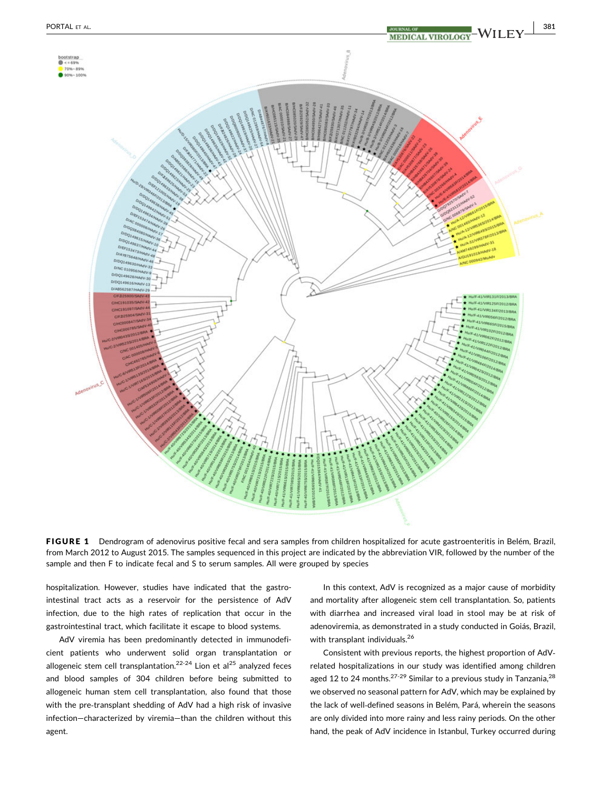

FIGURE 1 Dendrogram of adenovirus positive fecal and sera samples from children hospitalized for acute gastroenteritis in Belém, Brazil, from March 2012 to August 2015. The samples sequenced in this project are indicated by the abbreviation VIR, followed by the number of the sample and then F to indicate fecal and S to serum samples. All were grouped by species

hospitalization. However, studies have indicated that the gastrointestinal tract acts as a reservoir for the persistence of AdV infection, due to the high rates of replication that occur in the gastrointestinal tract, which facilitate it escape to blood systems.

AdV viremia has been predominantly detected in immunodeficient patients who underwent solid organ transplantation or allogeneic stem cell transplantation.<sup>22-24</sup> Lion et al<sup>25</sup> analyzed feces and blood samples of 304 children before being submitted to allogeneic human stem cell transplantation, also found that those with the pre-transplant shedding of AdV had a high risk of invasive infection—characterized by viremia—than the children without this agent.

In this context, AdV is recognized as a major cause of morbidity and mortality after allogeneic stem cell transplantation. So, patients with diarrhea and increased viral load in stool may be at risk of adenoviremia, as demonstrated in a study conducted in Goiás, Brazil, with transplant individuals.<sup>26</sup>

Consistent with previous reports, the highest proportion of AdV‐ related hospitalizations in our study was identified among children aged 12 to 24 months. $27-29$  Similar to a previous study in Tanzania, $28$ we observed no seasonal pattern for AdV, which may be explained by the lack of well‐defined seasons in Belém, Pará, wherein the seasons are only divided into more rainy and less rainy periods. On the other hand, the peak of AdV incidence in Istanbul, Turkey occurred during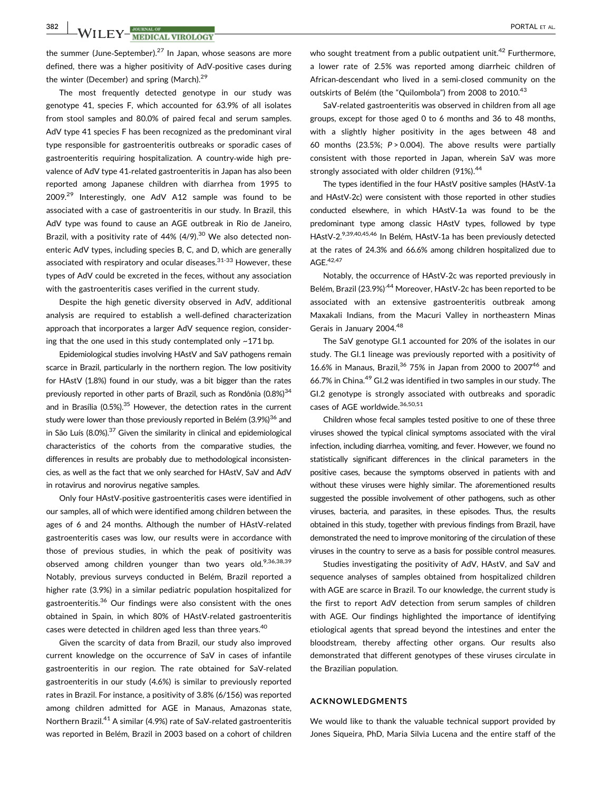**382 | WILEY-MEDICAL VIROLOGY** PORTAL ET AL.

the summer (June-September). $27$  In Japan, whose seasons are more defined, there was a higher positivity of AdV‐positive cases during the winter (December) and spring (March).<sup>29</sup>

The most frequently detected genotype in our study was genotype 41, species F, which accounted for 63.9% of all isolates from stool samples and 80.0% of paired fecal and serum samples. AdV type 41 species F has been recognized as the predominant viral type responsible for gastroenteritis outbreaks or sporadic cases of gastroenteritis requiring hospitalization. A country‐wide high prevalence of AdV type 41‐related gastroenteritis in Japan has also been reported among Japanese children with diarrhea from 1995 to 2009.<sup>29</sup> Interestingly, one AdV A12 sample was found to be associated with a case of gastroenteritis in our study. In Brazil, this AdV type was found to cause an AGE outbreak in Rio de Janeiro, Brazil, with a positivity rate of 44%  $(4/9)$ .<sup>30</sup> We also detected nonenteric AdV types, including species B, C, and D, which are generally associated with respiratory and ocular diseases.<sup>31-33</sup> However, these types of AdV could be excreted in the feces, without any association with the gastroenteritis cases verified in the current study.

Despite the high genetic diversity observed in AdV, additional analysis are required to establish a well‐defined characterization approach that incorporates a larger AdV sequence region, considering that the one used in this study contemplated only ~171 bp.

Epidemiological studies involving HAstV and SaV pathogens remain scarce in Brazil, particularly in the northern region. The low positivity for HAstV (1.8%) found in our study, was a bit bigger than the rates previously reported in other parts of Brazil, such as Rondônia  $(0.8\%)^{34}$ and in Brasília (0.5%). $35$  However, the detection rates in the current study were lower than those previously reported in Belém (3.9%)<sup>36</sup> and in São Luís  $(8.0\%)$ <sup>37</sup> Given the similarity in clinical and epidemiological characteristics of the cohorts from the comparative studies, the differences in results are probably due to methodological inconsistencies, as well as the fact that we only searched for HAstV, SaV and AdV in rotavirus and norovirus negative samples.

Only four HAstV‐positive gastroenteritis cases were identified in our samples, all of which were identified among children between the ages of 6 and 24 months. Although the number of HAstV‐related gastroenteritis cases was low, our results were in accordance with those of previous studies, in which the peak of positivity was observed among children younger than two years old.<sup>9,36,38,39</sup> Notably, previous surveys conducted in Belém, Brazil reported a higher rate (3.9%) in a similar pediatric population hospitalized for gastroenteritis.<sup>36</sup> Our findings were also consistent with the ones obtained in Spain, in which 80% of HAstV‐related gastroenteritis cases were detected in children aged less than three years.<sup>40</sup>

Given the scarcity of data from Brazil, our study also improved current knowledge on the occurrence of SaV in cases of infantile gastroenteritis in our region. The rate obtained for SaV‐related gastroenteritis in our study (4.6%) is similar to previously reported rates in Brazil. For instance, a positivity of 3.8% (6/156) was reported among children admitted for AGE in Manaus, Amazonas state, Northern Brazil.<sup>41</sup> A similar (4.9%) rate of SaV-related gastroenteritis was reported in Belém, Brazil in 2003 based on a cohort of children

who sought treatment from a public outpatient unit.<sup>42</sup> Furthermore, a lower rate of 2.5% was reported among diarrheic children of African-descendant who lived in a semi-closed community on the outskirts of Belém (the "Quilombola") from 2008 to 2010.<sup>43</sup>

SaV-related gastroenteritis was observed in children from all age groups, except for those aged 0 to 6 months and 36 to 48 months, with a slightly higher positivity in the ages between 48 and 60 months (23.5%; P > 0.004). The above results were partially consistent with those reported in Japan, wherein SaV was more strongly associated with older children (91%).<sup>44</sup>

The types identified in the four HAstV positive samples (HAstV‐1a and HAstV‐2c) were consistent with those reported in other studies conducted elsewhere, in which HAstV‐1a was found to be the predominant type among classic HAstV types, followed by type HAstV-2.<sup>9,39,40,45,46</sup> In Belém, HAstV-1a has been previously detected at the rates of 24.3% and 66.6% among children hospitalized due to AGE.<sup>42,47</sup>

Notably, the occurrence of HAstV‐2c was reported previously in Belém, Brazil (23.9%).<sup>44</sup> Moreover, HAstV-2c has been reported to be associated with an extensive gastroenteritis outbreak among Maxakali Indians, from the Macuri Valley in northeastern Minas Gerais in January 2004.<sup>48</sup>

The SaV genotype GI.1 accounted for 20% of the isolates in our study. The GI.1 lineage was previously reported with a positivity of 16.6% in Manaus, Brazil.<sup>36</sup> 75% in Japan from 2000 to 2007<sup>46</sup> and 66.7% in China.<sup>49</sup> GI.2 was identified in two samples in our study. The GI.2 genotype is strongly associated with outbreaks and sporadic cases of AGE worldwide.<sup>36,50,51</sup>

Children whose fecal samples tested positive to one of these three viruses showed the typical clinical symptoms associated with the viral infection, including diarrhea, vomiting, and fever. However, we found no statistically significant differences in the clinical parameters in the positive cases, because the symptoms observed in patients with and without these viruses were highly similar. The aforementioned results suggested the possible involvement of other pathogens, such as other viruses, bacteria, and parasites, in these episodes. Thus, the results obtained in this study, together with previous findings from Brazil, have demonstrated the need to improve monitoring of the circulation of these viruses in the country to serve as a basis for possible control measures.

Studies investigating the positivity of AdV, HAstV, and SaV and sequence analyses of samples obtained from hospitalized children with AGE are scarce in Brazil. To our knowledge, the current study is the first to report AdV detection from serum samples of children with AGE. Our findings highlighted the importance of identifying etiological agents that spread beyond the intestines and enter the bloodstream, thereby affecting other organs. Our results also demonstrated that different genotypes of these viruses circulate in the Brazilian population.

#### ACKNOWLEDGMENTS

We would like to thank the valuable technical support provided by Jones Siqueira, PhD, Maria Silvia Lucena and the entire staff of the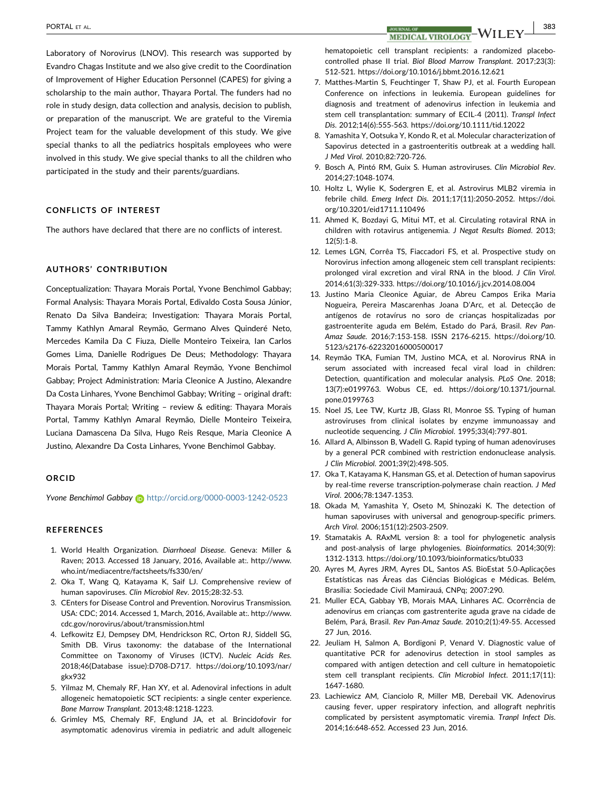Laboratory of Norovirus (LNOV). This research was supported by Evandro Chagas Institute and we also give credit to the Coordination of Improvement of Higher Education Personnel (CAPES) for giving a scholarship to the main author, Thayara Portal. The funders had no role in study design, data collection and analysis, decision to publish, or preparation of the manuscript. We are grateful to the Viremia Project team for the valuable development of this study. We give special thanks to all the pediatrics hospitals employees who were involved in this study. We give special thanks to all the children who participated in the study and their parents/guardians.

#### CONFLICTS OF INTEREST

The authors have declared that there are no conflicts of interest.

## AUTHORS' CONTRIBUTION

Conceptualization: Thayara Morais Portal, Yvone Benchimol Gabbay; Formal Analysis: Thayara Morais Portal, Edivaldo Costa Sousa Júnior, Renato Da Silva Bandeira; Investigation: Thayara Morais Portal, Tammy Kathlyn Amaral Reymão, Germano Alves Quinderé Neto, Mercedes Kamila Da C Fiuza, Dielle Monteiro Teixeira, Ian Carlos Gomes Lima, Danielle Rodrigues De Deus; Methodology: Thayara Morais Portal, Tammy Kathlyn Amaral Reymão, Yvone Benchimol Gabbay; Project Administration: Maria Cleonice A Justino, Alexandre Da Costa Linhares, Yvone Benchimol Gabbay; Writing – original draft: Thayara Morais Portal; Writing – review & editing: Thayara Morais Portal, Tammy Kathlyn Amaral Reymão, Dielle Monteiro Teixeira, Luciana Damascena Da Silva, Hugo Reis Resque, Maria Cleonice A Justino, Alexandre Da Costa Linhares, Yvone Benchimol Gabbay.

### ORCID

Yvone Benchimol Gabbay in <http://orcid.org/0000-0003-1242-0523>

#### **REFERENCES**

- 1. World Health Organization. Diarrhoeal Disease. Geneva: Miller & Raven; 2013. Accessed 18 January, 2016, Available at:. [http://www.](http://www.who.int/mediacentre/factsheets/fs330/en/) [who.int/mediacentre/factsheets/fs330/en/](http://www.who.int/mediacentre/factsheets/fs330/en/)
- 2. Oka T, Wang Q, Katayama K, Saif LJ. Comprehensive review of human sapoviruses. Clin Microbiol Rev. 2015;28:32‐53.
- 3. CEnters for Disease Control and Prevention. Norovirus Transmission. USA: CDC; 2014. Accessed 1, March, 2016, Available at:. [http://www.](http://www.cdc.gov/norovirus/about/transmission.html.) [cdc.gov/norovirus/about/transmission.html](http://www.cdc.gov/norovirus/about/transmission.html.)
- 4. Lefkowitz EJ, Dempsey DM, Hendrickson RC, Orton RJ, Siddell SG, Smith DB. Virus taxonomy: the database of the International Committee on Taxonomy of Viruses (ICTV). Nucleic Acids Res. 2018;46(Database issue):D708‐D717. [https://doi.org/10.1093/nar/](https://doi.org/10.1093/nar/gkx932) [gkx932](https://doi.org/10.1093/nar/gkx932)
- 5. Yilmaz M, Chemaly RF, Han XY, et al. Adenoviral infections in adult allogeneic hematopoietic SCT recipients: a single center experience. Bone Marrow Transplant. 2013;48:1218‐1223.
- 6. Grimley MS, Chemaly RF, Englund JA, et al. Brincidofovir for asymptomatic adenovirus viremia in pediatric and adult allogeneic

hematopoietic cell transplant recipients: a randomized placebocontrolled phase II trial. Biol Blood Marrow Transplant. 2017;23(3): 512‐521.<https://doi.org/10.1016/j.bbmt.2016.12.621>

- 7. Matthes‐Martin S, Feuchtinger T, Shaw PJ, et al. Fourth European Conference on infections in leukemia. European guidelines for diagnosis and treatment of adenovirus infection in leukemia and stem cell transplantation: summary of ECIL‐4 (2011). Transpl Infect Dis. 2012;14(6):555‐563.<https://doi.org/10.1111/tid.12022>
- 8. Yamashita Y, Ootsuka Y, Kondo R, et al. Molecular characterization of Sapovirus detected in a gastroenteritis outbreak at a wedding hall. J Med Virol. 2010;82:720‐726.
- 9. Bosch A, Pintó RM, Guix S. Human astroviruses. Clin Microbiol Rev. 2014;27:1048‐1074.
- 10. Holtz L, Wylie K, Sodergren E, et al. Astrovirus MLB2 viremia in febrile child. Emerg Infect Dis. 2011;17(11):2050‐2052. [https://doi.](https://doi.org/10.3201/eid1711.110496) [org/10.3201/eid1711.110496](https://doi.org/10.3201/eid1711.110496)
- 11. Ahmed K, Bozdayi G, Mitui MT, et al. Circulating rotaviral RNA in children with rotavirus antigenemia. J Negat Results Biomed. 2013; 12(5):1‐8.
- 12. Lemes LGN, Corrêa TS, Fiaccadori FS, et al. Prospective study on Norovirus infection among allogeneic stem cell transplant recipients: prolonged viral excretion and viral RNA in the blood. J Clin Virol. 2014;61(3):329‐333.<https://doi.org/10.1016/j.jcv.2014.08.004>
- 13. Justino Maria Cleonice Aguiar, de Abreu Campos Erika Maria Nogueira, Pereira Mascarenhas Joana D'Arc, et al. Detecção de antígenos de rotavírus no soro de crianças hospitalizadas por gastroenterite aguda em Belém, Estado do Pará, Brasil. Rev Pan‐ Amaz Saude. 2016;7:153‐158. ISSN 2176‐6215. [https://doi.org/10.](https://doi.org/10.5123/s2176-62232016000500017.) 5123/s2176‐[62232016000500017](https://doi.org/10.5123/s2176-62232016000500017.)
- 14. Reymão TKA, Fumian TM, Justino MCA, et al. Norovirus RNA in serum associated with increased fecal viral load in children: Detection, quantification and molecular analysis. PLoS One. 2018; 13(7):e0199763. Wobus CE, ed. [https://doi.org/10.1371/journal.](https://doi.org/10.1371/journal.pone.0199763) [pone.0199763](https://doi.org/10.1371/journal.pone.0199763)
- 15. Noel JS, Lee TW, Kurtz JB, Glass RI, Monroe SS. Typing of human astroviruses from clinical isolates by enzyme immunoassay and nucleotide sequencing. J Clin Microbiol. 1995;33(4):797‐801.
- 16. Allard A, Albinsson B, Wadell G. Rapid typing of human adenoviruses by a general PCR combined with restriction endonuclease analysis. J Clin Microbiol. 2001;39(2):498‐505.
- 17. Oka T, Katayama K, Hansman GS, et al. Detection of human sapovirus by real-time reverse transcription-polymerase chain reaction. J Med Virol. 2006;78:1347‐1353.
- 18. Okada M, Yamashita Y, Oseto M, Shinozaki K. The detection of human sapoviruses with universal and genogroup‐specific primers. Arch Virol. 2006;151(12):2503‐2509.
- 19. Stamatakis A. RAxML version 8: a tool for phylogenetic analysis and post-analysis of large phylogenies. Bioinformatics. 2014;30(9): 1312‐1313.<https://doi.org/10.1093/bioinformatics/btu033>
- 20. Ayres M, Ayres JRM, Ayres DL, Santos AS. BioEstat 5.0‐Aplicações Estatísticas nas Áreas das Ciências Biológicas e Médicas. Belém, Brasília: Sociedade Civil Mamirauá, CNPq; 2007:290.
- 21. Muller ECA, Gabbay YB, Morais MAA, Linhares AC. Ocorrência de adenovírus em crianças com gastrenterite aguda grave na cidade de Belém, Pará, Brasil. Rev Pan‐Amaz Saude. 2010;2(1):49‐55. Accessed 27 Jun, 2016.
- 22. Jeuliam H, Salmon A, Bordigoni P, Venard V. Diagnostic value of quantitative PCR for adenovirus detection in stool samples as compared with antigen detection and cell culture in hematopoietic stem cell transplant recipients. Clin Microbiol Infect. 2011;17(11): 1647‐1680.
- 23. Lachiewicz AM, Cianciolo R, Miller MB, Derebail VK. Adenovirus causing fever, upper respiratory infection, and allograft nephritis complicated by persistent asymptomatic viremia. Tranpl Infect Dis. 2014;16:648‐652. Accessed 23 Jun, 2016.